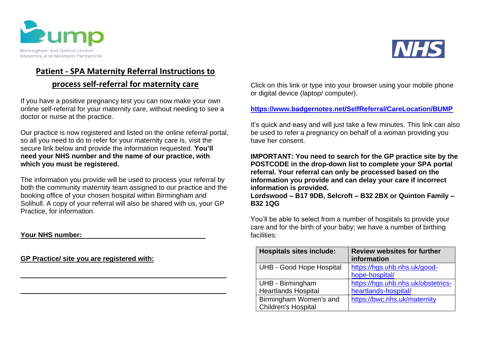



# **Patient - SPA Maternity Referral Instructions to**

# **process self-referral for maternity care**

If you have a positive pregnancy test you can now make your own online self-referral for your maternity care, without needing to see a doctor or nurse at the practice.

Our practice is now registered and listed on the online referral portal, so all you need to do to refer for your maternity care is, visit the secure link below and provide the information requested. **You'll need your NHS number and the name of our practice, with which you must be registered.**

The information you provide will be used to process your referral by both the community maternity team assigned to our practice and the booking office of your chosen hospital within Birmingham and Solihull. A copy of your referral will also be shared with us, your GP Practice, for information.

### **Your NHS number:**

**GP Practice/ site you are registered with:**

Click on this link or type into your browser using your mobile phone or digital device (laptop/ computer).

## **<https://www.badgernotes.net/SelfReferral/CareLocation/BUMP>**

It's quick and easy and will just take a few minutes. This link can also be used to refer a pregnancy on behalf of a woman providing you have her consent.

**IMPORTANT: You need to search for the GP practice site by the POSTCODE in the drop-down list to complete your SPA portal referral. Your referral can only be processed based on the information you provide and can delay your care if incorrect information is provided.**

**Lordswood – B17 9DB, Selcroft – B32 2BX or Quinton Family – B32 1QG**

You'll be able to select from a number of hospitals to provide your care and for the birth of your baby; we have a number of birthing facilities:

| <b>Hospitals sites include:</b> | <b>Review websites for further</b><br>information |
|---------------------------------|---------------------------------------------------|
| <b>UHB - Good Hope Hospital</b> | https://hgs.uhb.nhs.uk/good-                      |
|                                 | hope-hospital/                                    |
| UHB - Birmingham                | https://hgs.uhb.nhs.uk/obstetrics-                |
| <b>Heartlands Hospital</b>      | heartlands-hospital/                              |
| Birmingham Women's and          | https://bwc.nhs.uk/maternity                      |
| <b>Children's Hospital</b>      |                                                   |